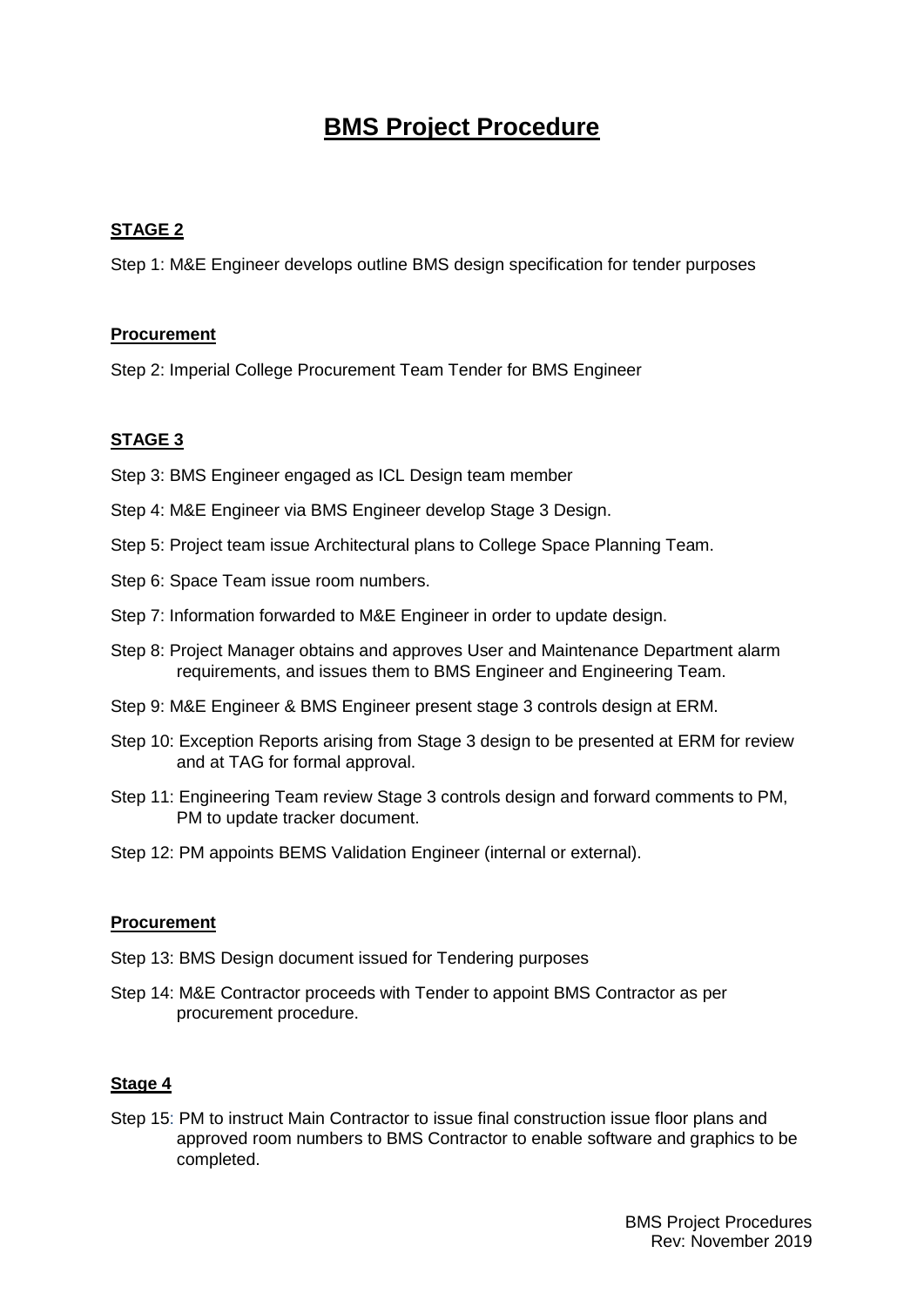# **BMS Project Procedure**

## **STAGE 2**

Step 1: M&E Engineer develops outline BMS design specification for tender purposes

## **Procurement**

Step 2: Imperial College Procurement Team Tender for BMS Engineer

# **STAGE 3**

- Step 3: BMS Engineer engaged as ICL Design team member
- Step 4: M&E Engineer via BMS Engineer develop Stage 3 Design.
- Step 5: Project team issue Architectural plans to College Space Planning Team.
- Step 6: Space Team issue room numbers.
- Step 7: Information forwarded to M&E Engineer in order to update design.
- Step 8: Project Manager obtains and approves User and Maintenance Department alarm requirements, and issues them to BMS Engineer and Engineering Team.
- Step 9: M&E Engineer & BMS Engineer present stage 3 controls design at ERM.
- Step 10: Exception Reports arising from Stage 3 design to be presented at ERM for review and at TAG for formal approval.
- Step 11: Engineering Team review Stage 3 controls design and forward comments to PM, PM to update tracker document.
- Step 12: PM appoints BEMS Validation Engineer (internal or external).

#### **Procurement**

- Step 13: BMS Design document issued for Tendering purposes
- Step 14: M&E Contractor proceeds with Tender to appoint BMS Contractor as per procurement procedure.

#### **Stage 4**

Step 15: PM to instruct Main Contractor to issue final construction issue floor plans and approved room numbers to BMS Contractor to enable software and graphics to be completed.